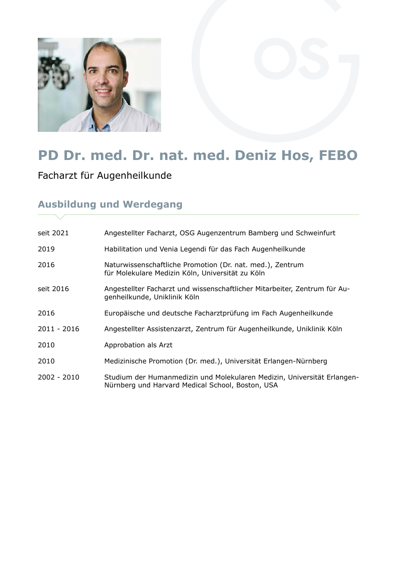

## **PD Dr. med. Dr. nat. med. Deniz Hos, FEBO**

Facharzt für Augenheilkunde

## **Ausbildung und Werdegang**

| seit 2021     | Angestellter Facharzt, OSG Augenzentrum Bamberg und Schweinfurt                                                             |
|---------------|-----------------------------------------------------------------------------------------------------------------------------|
| 2019          | Habilitation und Venia Legendi für das Fach Augenheilkunde                                                                  |
| 2016          | Naturwissenschaftliche Promotion (Dr. nat. med.), Zentrum<br>für Molekulare Medizin Köln, Universität zu Köln               |
| seit 2016     | Angestellter Facharzt und wissenschaftlicher Mitarbeiter, Zentrum für Au-<br>genheilkunde, Uniklinik Köln                   |
| 2016          | Europäische und deutsche Facharztprüfung im Fach Augenheilkunde                                                             |
| 2011 - 2016   | Angestellter Assistenzarzt, Zentrum für Augenheilkunde, Uniklinik Köln                                                      |
| 2010          | Approbation als Arzt                                                                                                        |
| 2010          | Medizinische Promotion (Dr. med.), Universität Erlangen-Nürnberg                                                            |
| $2002 - 2010$ | Studium der Humanmedizin und Molekularen Medizin, Universität Erlangen-<br>Nürnberg und Harvard Medical School, Boston, USA |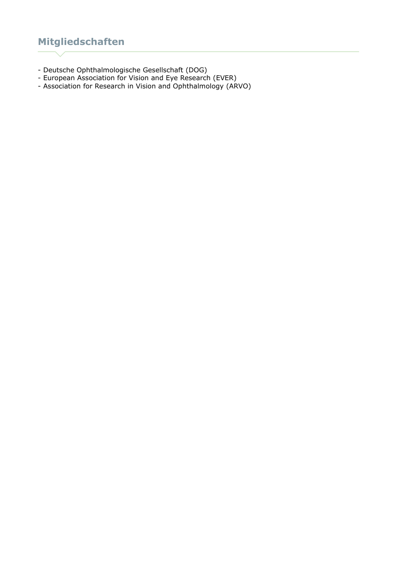## **Mitgliedschaften**

- Deutsche Ophthalmologische Gesellschaft (DOG)
- European Association for Vision and Eye Research (EVER)
- Association for Research in Vision and Ophthalmology (ARVO)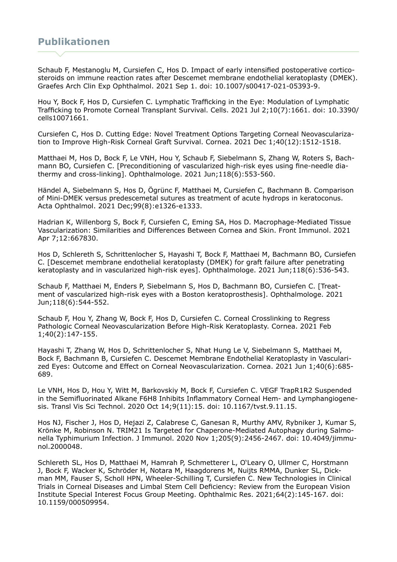Schaub F, Mestanoglu M, Cursiefen C, Hos D. Impact of early intensified postoperative corticosteroids on immune reaction rates after Descemet membrane endothelial keratoplasty (DMEK). Graefes Arch Clin Exp Ophthalmol. 2021 Sep 1. doi: 10.1007/s00417-021-05393-9.

Hou Y, Bock F, Hos D, Cursiefen C. Lymphatic Trafficking in the Eye: Modulation of Lymphatic Trafficking to Promote Corneal Transplant Survival. Cells. 2021 Jul 2;10(7):1661. doi: 10.3390/ cells10071661.

Cursiefen C, Hos D. Cutting Edge: Novel Treatment Options Targeting Corneal Neovascularization to Improve High-Risk Corneal Graft Survival. Cornea. 2021 Dec 1;40(12):1512-1518.

Matthaei M, Hos D, Bock F, Le VNH, Hou Y, Schaub F, Siebelmann S, Zhang W, Roters S, Bachmann BO, Cursiefen C. [Preconditioning of vascularized high-risk eyes using fine-needle diathermy and cross-linking]. Ophthalmologe. 2021 Jun;118(6):553-560.

Händel A, Siebelmann S, Hos D, Ögrünc F, Matthaei M, Cursiefen C, Bachmann B. Comparison of Mini-DMEK versus predescemetal sutures as treatment of acute hydrops in keratoconus. Acta Ophthalmol. 2021 Dec;99(8):e1326-e1333.

Hadrian K, Willenborg S, Bock F, Cursiefen C, Eming SA, Hos D. Macrophage-Mediated Tissue Vascularization: Similarities and Differences Between Cornea and Skin. Front Immunol. 2021 Apr 7;12:667830.

Hos D, Schlereth S, Schrittenlocher S, Hayashi T, Bock F, Matthaei M, Bachmann BO, Cursiefen C. [Descemet membrane endothelial keratoplasty (DMEK) for graft failure after penetrating keratoplasty and in vascularized high-risk eyes]. Ophthalmologe. 2021 Jun;118(6):536-543.

Schaub F, Matthaei M, Enders P, Siebelmann S, Hos D, Bachmann BO, Cursiefen C. [Treatment of vascularized high-risk eyes with a Boston keratoprosthesis]. Ophthalmologe. 2021 Jun;118(6):544-552.

Schaub F, Hou Y, Zhang W, Bock F, Hos D, Cursiefen C. Corneal Crosslinking to Regress Pathologic Corneal Neovascularization Before High-Risk Keratoplasty. Cornea. 2021 Feb 1;40(2):147-155.

Hayashi T, Zhang W, Hos D, Schrittenlocher S, Nhat Hung Le V, Siebelmann S, Matthaei M, Bock F, Bachmann B, Cursiefen C. Descemet Membrane Endothelial Keratoplasty in Vascularized Eyes: Outcome and Effect on Corneal Neovascularization. Cornea. 2021 Jun 1;40(6):685- 689.

Le VNH, Hos D, Hou Y, Witt M, Barkovskiy M, Bock F, Cursiefen C. VEGF TrapR1R2 Suspended in the Semifluorinated Alkane F6H8 Inhibits Inflammatory Corneal Hem- and Lymphangiogenesis. Transl Vis Sci Technol. 2020 Oct 14;9(11):15. doi: 10.1167/tvst.9.11.15.

Hos NJ, Fischer J, Hos D, Hejazi Z, Calabrese C, Ganesan R, Murthy AMV, Rybniker J, Kumar S, Krönke M, Robinson N. TRIM21 Is Targeted for Chaperone-Mediated Autophagy during Salmonella Typhimurium Infection. J Immunol. 2020 Nov 1;205(9):2456-2467. doi: 10.4049/jimmunol.2000048.

Schlereth SL, Hos D, Matthaei M, Hamrah P, Schmetterer L, O'Leary O, Ullmer C, Horstmann J, Bock F, Wacker K, Schröder H, Notara M, Haagdorens M, Nuijts RMMA, Dunker SL, Dickman MM, Fauser S, Scholl HPN, Wheeler-Schilling T, Cursiefen C. New Technologies in Clinical Trials in Corneal Diseases and Limbal Stem Cell Deficiency: Review from the European Vision Institute Special Interest Focus Group Meeting. Ophthalmic Res. 2021;64(2):145-167. doi: 10.1159/000509954.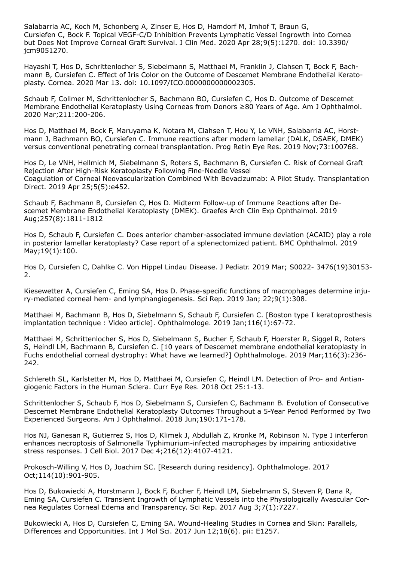Salabarria AC, Koch M, Schonberg A, Zinser E, Hos D, Hamdorf M, Imhof T, Braun G, Cursiefen C, Bock F. Topical VEGF-C/D Inhibition Prevents Lymphatic Vessel Ingrowth into Cornea but Does Not Improve Corneal Graft Survival. J Clin Med. 2020 Apr 28;9(5):1270. doi: 10.3390/ jcm9051270.

Hayashi T, Hos D, Schrittenlocher S, Siebelmann S, Matthaei M, Franklin J, Clahsen T, Bock F, Bachmann B, Cursiefen C. Effect of Iris Color on the Outcome of Descemet Membrane Endothelial Keratoplasty. Cornea. 2020 Mar 13. doi: 10.1097/ICO.0000000000002305.

Schaub F, Collmer M, Schrittenlocher S, Bachmann BO, Cursiefen C, Hos D. Outcome of Descemet Membrane Endothelial Keratoplasty Using Corneas from Donors ≥80 Years of Age. Am J Ophthalmol. 2020 Mar;211:200-206.

Hos D, Matthaei M, Bock F, Maruyama K, Notara M, Clahsen T, Hou Y, Le VNH, Salabarria AC, Horstmann J, Bachmann BO, Cursiefen C. Immune reactions after modern lamellar (DALK, DSAEK, DMEK) versus conventional penetrating corneal transplantation. Prog Retin Eye Res. 2019 Nov;73:100768.

Hos D, Le VNH, Hellmich M, Siebelmann S, Roters S, Bachmann B, Cursiefen C. Risk of Corneal Graft Rejection After High-Risk Keratoplasty Following Fine-Needle Vessel Coagulation of Corneal Neovascularization Combined With Bevacizumab: A Pilot Study. Transplantation Direct. 2019 Apr 25;5(5):e452.

Schaub F, Bachmann B, Cursiefen C, Hos D. Midterm Follow-up of Immune Reactions after Descemet Membrane Endothelial Keratoplasty (DMEK). Graefes Arch Clin Exp Ophthalmol. 2019 Aug;257(8):1811-1812

Hos D, Schaub F, Cursiefen C. Does anterior chamber-associated immune deviation (ACAID) play a role in posterior lamellar keratoplasty? Case report of a splenectomized patient. BMC Ophthalmol. 2019 May;19(1):100.

Hos D, Cursiefen C, Dahlke C. Von Hippel Lindau Disease. J Pediatr. 2019 Mar; S0022- 3476(19)30153- 2.

Kiesewetter A, Cursiefen C, Eming SA, Hos D. Phase-specific functions of macrophages determine injury-mediated corneal hem- and lymphangiogenesis. Sci Rep. 2019 Jan; 22;9(1):308.

Matthaei M, Bachmann B, Hos D, Siebelmann S, Schaub F, Cursiefen C. [Boston type I keratoprosthesis implantation technique : Video article]. Ophthalmologe. 2019 Jan;116(1):67-72.

Matthaei M, Schrittenlocher S, Hos D, Siebelmann S, Bucher F, Schaub F, Hoerster R, Siggel R, Roters S, Heindl LM, Bachmann B, Cursiefen C. [10 years of Descemet membrane endothelial keratoplasty in Fuchs endothelial corneal dystrophy: What have we learned?] Ophthalmologe. 2019 Mar;116(3):236- 242.

Schlereth SL, Karlstetter M, Hos D, Matthaei M, Cursiefen C, Heindl LM. Detection of Pro- and Antiangiogenic Factors in the Human Sclera. Curr Eye Res. 2018 Oct 25:1-13.

Schrittenlocher S, Schaub F, Hos D, Siebelmann S, Cursiefen C, Bachmann B. Evolution of Consecutive Descemet Membrane Endothelial Keratoplasty Outcomes Throughout a 5-Year Period Performed by Two Experienced Surgeons. Am J Ophthalmol. 2018 Jun;190:171-178.

Hos NJ, Ganesan R, Gutierrez S, Hos D, Klimek J, Abdullah Z, Kronke M, Robinson N. Type I interferon enhances necroptosis of Salmonella Typhimurium-infected macrophages by impairing antioxidative stress responses. J Cell Biol. 2017 Dec 4;216(12):4107-4121.

Prokosch-Willing V, Hos D, Joachim SC. [Research during residency]. Ophthalmologe. 2017 Oct;114(10):901-905.

Hos D, Bukowiecki A, Horstmann J, Bock F, Bucher F, Heindl LM, Siebelmann S, Steven P, Dana R, Eming SA, Cursiefen C. Transient Ingrowth of Lymphatic Vessels into the Physiologically Avascular Cornea Regulates Corneal Edema and Transparency. Sci Rep. 2017 Aug 3;7(1):7227.

Bukowiecki A, Hos D, Cursiefen C, Eming SA. Wound-Healing Studies in Cornea and Skin: Parallels, Differences and Opportunities. Int J Mol Sci. 2017 Jun 12;18(6). pii: E1257.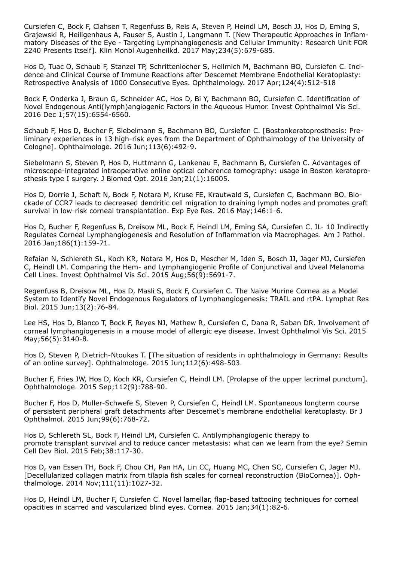Cursiefen C, Bock F, Clahsen T, Regenfuss B, Reis A, Steven P, Heindl LM, Bosch JJ, Hos D, Eming S, Grajewski R, Heiligenhaus A, Fauser S, Austin J, Langmann T. [New Therapeutic Approaches in Inflammatory Diseases of the Eye - Targeting Lymphangiogenesis and Cellular Immunity: Research Unit FOR 2240 Presents Itself]. Klin Monbl Augenheilkd. 2017 May;234(5):679-685.

Hos D, Tuac O, Schaub F, Stanzel TP, Schrittenlocher S, Hellmich M, Bachmann BO, Cursiefen C. Incidence and Clinical Course of Immune Reactions after Descemet Membrane Endothelial Keratoplasty: Retrospective Analysis of 1000 Consecutive Eyes. Ophthalmology. 2017 Apr;124(4):512-518

Bock F, Onderka J, Braun G, Schneider AC, Hos D, Bi Y, Bachmann BO, Cursiefen C. Identification of Novel Endogenous Anti(lymph)angiogenic Factors in the Aqueous Humor. Invest Ophthalmol Vis Sci. 2016 Dec 1;57(15):6554-6560.

Schaub F, Hos D, Bucher F, Siebelmann S, Bachmann BO, Cursiefen C. [Bostonkeratoprosthesis: Preliminary experiences in 13 high-risk eyes from the Department of Ophthalmology of the University of Cologne]. Ophthalmologe. 2016 Jun;113(6):492-9.

Siebelmann S, Steven P, Hos D, Huttmann G, Lankenau E, Bachmann B, Cursiefen C. Advantages of microscope-integrated intraoperative online optical coherence tomography: usage in Boston keratoprosthesis type I surgery. J Biomed Opt. 2016 Jan;21(1):16005.

Hos D, Dorrie J, Schaft N, Bock F, Notara M, Kruse FE, Krautwald S, Cursiefen C, Bachmann BO. Blockade of CCR7 leads to decreased dendritic cell migration to draining lymph nodes and promotes graft survival in low-risk corneal transplantation. Exp Eye Res. 2016 May;146:1-6.

Hos D, Bucher F, Regenfuss B, Dreisow ML, Bock F, Heindl LM, Eming SA, Cursiefen C. IL- 10 Indirectly Regulates Corneal Lymphangiogenesis and Resolution of Inflammation via Macrophages. Am J Pathol. 2016 Jan;186(1):159-71.

Refaian N, Schlereth SL, Koch KR, Notara M, Hos D, Mescher M, Iden S, Bosch JJ, Jager MJ, Cursiefen C, Heindl LM. Comparing the Hem- and Lymphangiogenic Profile of Conjunctival and Uveal Melanoma Cell Lines. Invest Ophthalmol Vis Sci. 2015 Aug;56(9):5691-7.

Regenfuss B, Dreisow ML, Hos D, Masli S, Bock F, Cursiefen C. The Naive Murine Cornea as a Model System to Identify Novel Endogenous Regulators of Lymphangiogenesis: TRAIL and rtPA. Lymphat Res Biol. 2015 Jun;13(2):76-84.

Lee HS, Hos D, Blanco T, Bock F, Reyes NJ, Mathew R, Cursiefen C, Dana R, Saban DR. Involvement of corneal lymphangiogenesis in a mouse model of allergic eye disease. Invest Ophthalmol Vis Sci. 2015 May;56(5):3140-8.

Hos D, Steven P, Dietrich-Ntoukas T. [The situation of residents in ophthalmology in Germany: Results of an online survey]. Ophthalmologe. 2015 Jun;112(6):498-503.

Bucher F, Fries JW, Hos D, Koch KR, Cursiefen C, Heindl LM. [Prolapse of the upper lacrimal punctum]. Ophthalmologe. 2015 Sep;112(9):788-90.

Bucher F, Hos D, Muller-Schwefe S, Steven P, Cursiefen C, Heindl LM. Spontaneous longterm course of persistent peripheral graft detachments after Descemet's membrane endothelial keratoplasty. Br J Ophthalmol. 2015 Jun;99(6):768-72.

Hos D, Schlereth SL, Bock F, Heindl LM, Cursiefen C. Antilymphangiogenic therapy to promote transplant survival and to reduce cancer metastasis: what can we learn from the eye? Semin Cell Dev Biol. 2015 Feb;38:117-30.

Hos D, van Essen TH, Bock F, Chou CH, Pan HA, Lin CC, Huang MC, Chen SC, Cursiefen C, Jager MJ. [Decellularized collagen matrix from tilapia fish scales for corneal reconstruction (BioCornea)]. Ophthalmologe. 2014 Nov;111(11):1027-32.

Hos D, Heindl LM, Bucher F, Cursiefen C. Novel lamellar, flap-based tattooing techniques for corneal opacities in scarred and vascularized blind eyes. Cornea. 2015 Jan;34(1):82-6.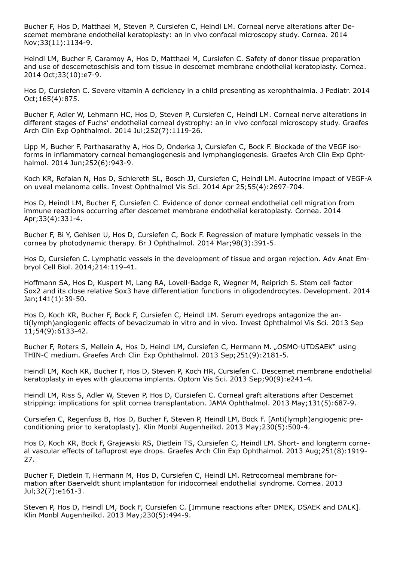Bucher F, Hos D, Matthaei M, Steven P, Cursiefen C, Heindl LM. Corneal nerve alterations after Descemet membrane endothelial keratoplasty: an in vivo confocal microscopy study. Cornea. 2014 Nov;33(11):1134-9.

Heindl LM, Bucher F, Caramoy A, Hos D, Matthaei M, Cursiefen C. Safety of donor tissue preparation and use of descemetoschisis and torn tissue in descemet membrane endothelial keratoplasty. Cornea. 2014 Oct;33(10):e7-9.

Hos D, Cursiefen C. Severe vitamin A deficiency in a child presenting as xerophthalmia. J Pediatr. 2014 Oct;165(4):875.

Bucher F, Adler W, Lehmann HC, Hos D, Steven P, Cursiefen C, Heindl LM. Corneal nerve alterations in different stages of Fuchs' endothelial corneal dystrophy: an in vivo confocal microscopy study. Graefes Arch Clin Exp Ophthalmol. 2014 Jul;252(7):1119-26.

Lipp M, Bucher F, Parthasarathy A, Hos D, Onderka J, Cursiefen C, Bock F. Blockade of the VEGF isoforms in inflammatory corneal hemangiogenesis and lymphangiogenesis. Graefes Arch Clin Exp Ophthalmol. 2014 Jun;252(6):943-9.

Koch KR, Refaian N, Hos D, Schlereth SL, Bosch JJ, Cursiefen C, Heindl LM. Autocrine impact of VEGF-A on uveal melanoma cells. Invest Ophthalmol Vis Sci. 2014 Apr 25;55(4):2697-704.

Hos D, Heindl LM, Bucher F, Cursiefen C. Evidence of donor corneal endothelial cell migration from immune reactions occurring after descemet membrane endothelial keratoplasty. Cornea. 2014 Apr;33(4):331-4.

Bucher F, Bi Y, Gehlsen U, Hos D, Cursiefen C, Bock F. Regression of mature lymphatic vessels in the cornea by photodynamic therapy. Br J Ophthalmol. 2014 Mar;98(3):391-5.

Hos D, Cursiefen C. Lymphatic vessels in the development of tissue and organ rejection. Adv Anat Embryol Cell Biol. 2014;214:119-41.

Hoffmann SA, Hos D, Kuspert M, Lang RA, Lovell-Badge R, Wegner M, Reiprich S. Stem cell factor Sox2 and its close relative Sox3 have differentiation functions in oligodendrocytes. Development. 2014 Jan;141(1):39-50.

Hos D, Koch KR, Bucher F, Bock F, Cursiefen C, Heindl LM. Serum eyedrops antagonize the anti(lymph)angiogenic effects of bevacizumab in vitro and in vivo. Invest Ophthalmol Vis Sci. 2013 Sep 11;54(9):6133-42.

Bucher F, Roters S, Mellein A, Hos D, Heindl LM, Cursiefen C, Hermann M. "OSMO-UTDSAEK" using THIN-C medium. Graefes Arch Clin Exp Ophthalmol. 2013 Sep;251(9):2181-5.

Heindl LM, Koch KR, Bucher F, Hos D, Steven P, Koch HR, Cursiefen C. Descemet membrane endothelial keratoplasty in eyes with glaucoma implants. Optom Vis Sci. 2013 Sep;90(9):e241-4.

Heindl LM, Riss S, Adler W, Steven P, Hos D, Cursiefen C. Corneal graft alterations after Descemet stripping: implications for split cornea transplantation. JAMA Ophthalmol. 2013 May;131(5):687-9.

Cursiefen C, Regenfuss B, Hos D, Bucher F, Steven P, Heindl LM, Bock F. [Anti(lymph)angiogenic preconditioning prior to keratoplasty]. Klin Monbl Augenheilkd. 2013 May;230(5):500-4.

Hos D, Koch KR, Bock F, Grajewski RS, Dietlein TS, Cursiefen C, Heindl LM. Short- and longterm corneal vascular effects of tafluprost eye drops. Graefes Arch Clin Exp Ophthalmol. 2013 Aug;251(8):1919- 27.

Bucher F, Dietlein T, Hermann M, Hos D, Cursiefen C, Heindl LM. Retrocorneal membrane formation after Baerveldt shunt implantation for iridocorneal endothelial syndrome. Cornea. 2013 Jul;32(7):e161-3.

Steven P, Hos D, Heindl LM, Bock F, Cursiefen C. [Immune reactions after DMEK, DSAEK and DALK]. Klin Monbl Augenheilkd. 2013 May;230(5):494-9.